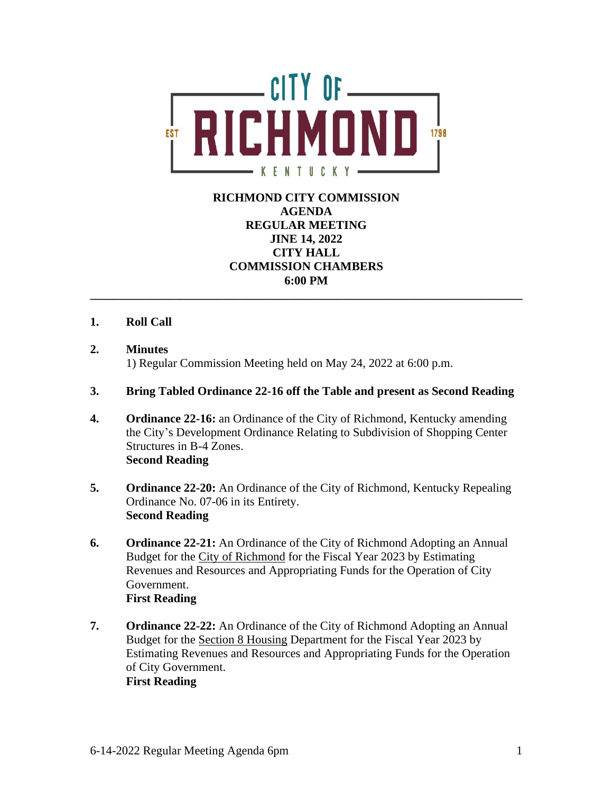

# **RICHMOND CITY COMMISSION AGENDA REGULAR MEETING JINE 14, 2022 CITY HALL COMMISSION CHAMBERS 6:00 PM**

**\_\_\_\_\_\_\_\_\_\_\_\_\_\_\_\_\_\_\_\_\_\_\_\_\_\_\_\_\_\_\_\_\_\_\_\_\_\_\_\_\_\_\_\_\_\_\_\_\_\_\_\_\_\_\_\_\_\_\_\_\_\_\_\_\_\_\_\_\_\_\_\_**

## **1. Roll Call**

**2. Minutes**

1) Regular Commission Meeting held on May 24, 2022 at 6:00 p.m.

### **3. Bring Tabled Ordinance 22-16 off the Table and present as Second Reading**

- **4. Ordinance 22-16:** an Ordinance of the City of Richmond, Kentucky amending the City's Development Ordinance Relating to Subdivision of Shopping Center Structures in B-4 Zones. **Second Reading**
- **5. Ordinance 22-20:** An Ordinance of the City of Richmond, Kentucky Repealing Ordinance No. 07-06 in its Entirety. **Second Reading**
- **6. Ordinance 22-21:** An Ordinance of the City of Richmond Adopting an Annual Budget for the City of Richmond for the Fiscal Year 2023 by Estimating Revenues and Resources and Appropriating Funds for the Operation of City Government. **First Reading**
- **7. Ordinance 22-22:** An Ordinance of the City of Richmond Adopting an Annual Budget for the Section 8 Housing Department for the Fiscal Year 2023 by Estimating Revenues and Resources and Appropriating Funds for the Operation of City Government. **First Reading**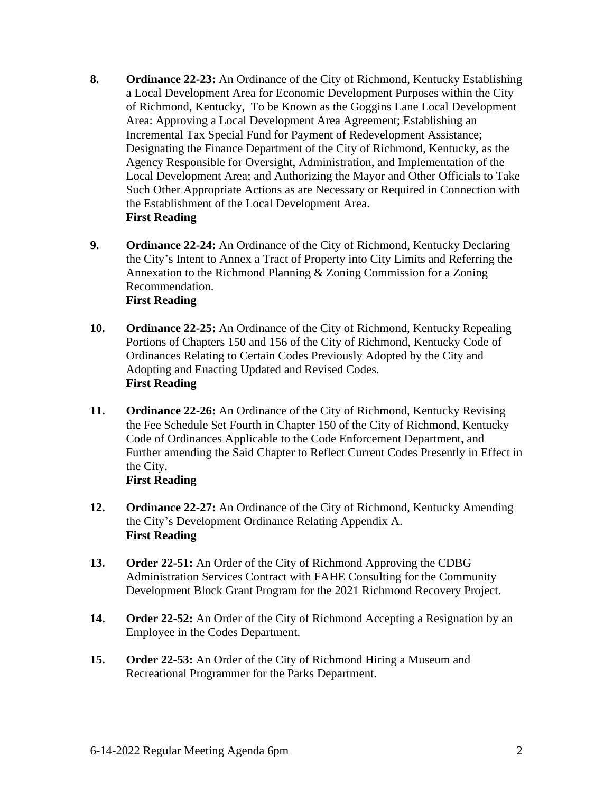- **8. Ordinance 22-23:** An Ordinance of the City of Richmond, Kentucky Establishing a Local Development Area for Economic Development Purposes within the City of Richmond, Kentucky, To be Known as the Goggins Lane Local Development Area: Approving a Local Development Area Agreement; Establishing an Incremental Tax Special Fund for Payment of Redevelopment Assistance; Designating the Finance Department of the City of Richmond, Kentucky, as the Agency Responsible for Oversight, Administration, and Implementation of the Local Development Area; and Authorizing the Mayor and Other Officials to Take Such Other Appropriate Actions as are Necessary or Required in Connection with the Establishment of the Local Development Area. **First Reading**
- **9. Ordinance 22-24:** An Ordinance of the City of Richmond, Kentucky Declaring the City's Intent to Annex a Tract of Property into City Limits and Referring the Annexation to the Richmond Planning & Zoning Commission for a Zoning Recommendation. **First Reading**
- **10. Ordinance 22-25:** An Ordinance of the City of Richmond, Kentucky Repealing Portions of Chapters 150 and 156 of the City of Richmond, Kentucky Code of Ordinances Relating to Certain Codes Previously Adopted by the City and Adopting and Enacting Updated and Revised Codes. **First Reading**
- **11. Ordinance 22-26:** An Ordinance of the City of Richmond, Kentucky Revising the Fee Schedule Set Fourth in Chapter 150 of the City of Richmond, Kentucky Code of Ordinances Applicable to the Code Enforcement Department, and Further amending the Said Chapter to Reflect Current Codes Presently in Effect in the City.
	- **First Reading**
- **12. Ordinance 22-27:** An Ordinance of the City of Richmond, Kentucky Amending the City's Development Ordinance Relating Appendix A. **First Reading**
- **13. Order 22-51:** An Order of the City of Richmond Approving the CDBG Administration Services Contract with FAHE Consulting for the Community Development Block Grant Program for the 2021 Richmond Recovery Project.
- **14. Order 22-52:** An Order of the City of Richmond Accepting a Resignation by an Employee in the Codes Department.
- **15. Order 22-53:** An Order of the City of Richmond Hiring a Museum and Recreational Programmer for the Parks Department.